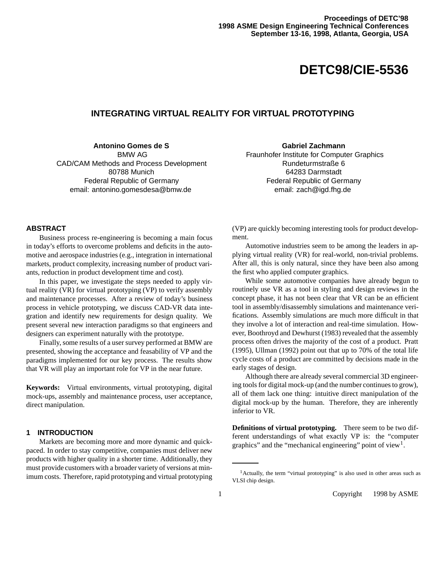# **DETC98/CIE-5536**

# **INTEGRATING VIRTUAL REALITY FOR VIRTUAL PROTOTYPING**

# **Antonino Gomes de S**

BMW AG CAD/CAM Methods and Process Development 80788 Munich Federal Republic of Germany email: antonino.gomesdesa@bmw.de

**Gabriel Zachmann** Fraunhofer Institute for Computer Graphics Rundeturmstraße 6 64283 Darmstadt Federal Republic of Germany email: zach@igd.fhg.de

# **ABSTRACT**

Business process re-engineering is becoming a main focus in today's efforts to overcome problems and deficits in the automotive and aerospace industries (e.g., integration in international markets, product complexity, increasing number of product variants, reduction in product development time and cost).

In this paper, we investigate the steps needed to apply virtual reality (VR) for virtual prototyping (VP) to verify assembly and maintenance processes. After a review of today's business process in vehicle prototyping, we discuss CAD-VR data integration and identify new requirements for design quality. We present several new interaction paradigms so that engineers and designers can experiment naturally with the prototype.

Finally, some results of a user survey performed at BMW are presented, showing the acceptance and feasability of VP and the paradigms implemented for our key process. The results show that VR will play an important role for VP in the near future.

**Keywords:** Virtual environments, virtual prototyping, digital mock-ups, assembly and maintenance process, user acceptance, direct manipulation.

## **1 INTRODUCTION**

Markets are becoming more and more dynamic and quickpaced. In order to stay competitive, companies must deliver new products with higher quality in a shorter time. Additionally, they must provide customers with a broader variety of versions at minimum costs. Therefore, rapid prototyping and virtual prototyping (VP) are quickly becoming interesting tools for product development.

Automotive industries seem to be among the leaders in applying virtual reality (VR) for real-world, non-trivial problems. After all, this is only natural, since they have been also among the first who applied computer graphics.

While some automotive companies have already begun to routinely use VR as a tool in styling and design reviews in the concept phase, it has not been clear that VR can be an efficient tool in assembly/disassembly simulations and maintenance verifications. Assembly simulations are much more difficult in that they involve a lot of interaction and real-time simulation. However, Boothroyd and Dewhurst (1983) revealed that the assembly process often drives the majority of the cost of a product. Pratt (1995), Ullman (1992) point out that up to 70% of the total life cycle costs of a product are committed by decisions made in the early stages of design.

Although there are already several commercial 3D engineering tools for digital mock-up (and the number continues to grow), all of them lack one thing: intuitive direct manipulation of the digital mock-up by the human. Therefore, they are inherently inferior to VR.

**Definitions of virtual prototyping.** There seem to be two different understandings of what exactly VP is: the "computer graphics" and the "mechanical engineering" point of view<sup>1</sup>.

<sup>&</sup>lt;sup>1</sup>Actually, the term "virtual prototyping" is also used in other areas such as VLSI chip design.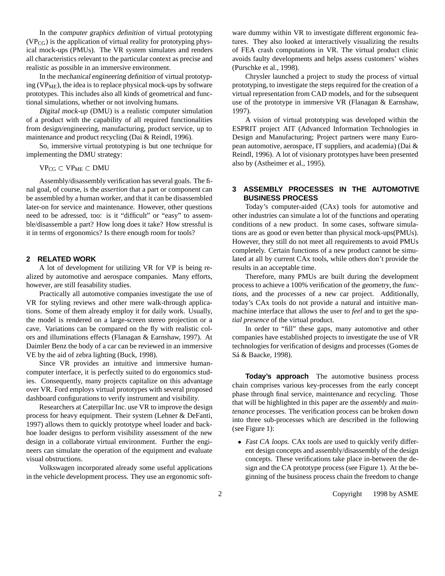In the computer graphics definition of virtual prototyping  $(VP_{CG})$  is the application of virtual reality for prototyping physical mock-ups (PMUs). The VR system simulates and renders all characteristics relevant to the particular context as precise and realistic as possible in an immersive environment.

In the mechanical engineering definition of virtual prototyping ( $VP<sub>ME</sub>$ ), the idea is to replace physical mock-ups by software prototypes. This includes also all kinds of geometrical and functional simulations, whether or not involving humans.

Digital mock-up (DMU) is a realistic computer simulation of a product with the capability of all required functionalities from design/engineering, manufacturing, product service, up to maintenance and product recycling (Dai & Reindl, 1996).

So, immersive virtual prototyping is but one technique for implementing the DMU strategy:

 $VP_{CG} \subset VP_{ME} \subset DMU$ 

Assembly/disassembly verification has several goals. The final goal, of course, is the *assertion* that a part or component can be assembled by a human worker, and that it can be disassembled later-on for service and maintenance. However, other questions need to be adressed, too: is it "difficult" or "easy" to assemble/disassemble a part? How long does it take? How stressful is it in terms of ergonomics? Is there enough room for tools?

#### **2 RELATED WORK**

A lot of development for utilizing VR for VP is being realized by automotive and aerospace companies. Many efforts, however, are still feasability studies.

Practically all automotive companies investigate the use of VR for styling reviews and other mere walk-through applications. Some of them already employ it for daily work. Usually, the model is rendered on a large-screen stereo projection or a cave. Variations can be compared on the fly with realistic colors and illuminations effects (Flanagan & Earnshaw, 1997). At Daimler Benz the body of a car can be reviewed in an immersive VE by the aid of zebra lighting (Buck, 1998).

Since VR provides an intuitive and immersive humancomputer interface, it is perfectly suited to do ergonomics studies. Consequently, many projects capitalize on this advantage over VR. Ford employs virtual prototypes with several proposed dashboard configurations to verify instrument and visibility.

Researchers at Caterpillar Inc. use VR to improve the design process for heavy equipment. Their system (Lehner & DeFanti, 1997) allows them to quickly prototype wheel loader and backhoe loader designs to perform visibility assessment of the new design in a collaborate virtual environment. Further the engineers can simulate the operation of the equipment and evaluate visual obstructions.

Volkswagen incorporated already some useful applications in the vehicle development process. They use an ergonomic soft-

ware dummy within VR to investigate different ergonomic features. They also looked at interactively visualizing the results of FEA crash computations in VR. The virtual product clinic avoids faulty developments and helps assess customers' wishes (Purschke et al., 1998).

Chrysler launched a project to study the process of virtual prototyping, to investigate the steps required for the creation of a virtual representation from CAD models, and for the subsequent use of the prototype in immersive VR (Flanagan & Earnshaw, 1997).

A vision of virtual prototyping was developed within the ESPRIT project AIT (Advanced Information Technologies in Design and Manufacturing; Project partners were many European automotive, aerospace, IT suppliers, and academia) (Dai & Reindl, 1996). A lot of visionary prototypes have been presented also by (Astheimer et al., 1995).

## **3 ASSEMBLY PROCESSES IN THE AUTOMOTIVE BUSINESS PROCESS**

Today's computer-aided (CAx) tools for automotive and other industries can simulate a lot of the functions and operating conditions of a new product. In some cases, software simulations are as good or even better than physical mock-ups(PMUs). However, they still do not meet all requirements to avoid PMUs completely. Certain functions of a new product cannot be simulated at all by current CAx tools, while others don't provide the results in an acceptable time.

Therefore, many PMUs are built during the development process to achieve a 100% verification of the geometry, the functions, and the processes of a new car project. Additionally, today's CAx tools do not provide a natural and intuitive manmachine interface that allows the user to *feel* and to get the *spatial presence* of the virtual product.

In order to "fill" these gaps, many automotive and other companies have established projects to investigate the use of VR technologies for verification of designs and processes (Gomes de Sá & Baacke, 1998).

**Today's approach** The automotive business process chain comprises various key-processes from the early concept phase through final service, maintenance and recycling. Those that will be highlighted in this paper are the *assembly* and *maintenance* processes. The verification process can be broken down into three sub-processes which are described in the following (see Figure 1):

• Fast CA loops. CAx tools are used to quickly verify different design concepts and assembly/disassembly of the design concepts. These verifications take place in-between the design and the CA prototype process (see Figure 1). At the beginning of the business process chain the freedom to change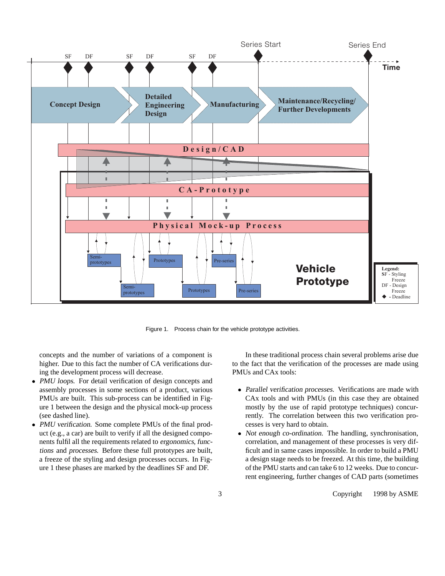

Figure 1. Process chain for the vehicle prototype activities.

concepts and the number of variations of a component is higher. Due to this fact the number of CA verifications during the development process will decrease.

- PMU loops. For detail verification of design concepts and assembly processes in some sections of a product, various PMUs are built. This sub-process can be identified in Figure 1 between the design and the physical mock-up process (see dashed line).
- PMU verification. Some complete PMUs of the final product (e.g., a car) are built to verify if all the designed components fulfil all the requirements related to ergonomics, functions and processes. Before these full prototypes are built, a freeze of the styling and design processes occurs. In Figure 1 these phases are marked by the deadlines SF and DF.

In these traditional process chain several problems arise due to the fact that the verification of the processes are made using PMUs and CAx tools:

- Parallel verification processes. Verifications are made with CAx tools and with PMUs (in this case they are obtained mostly by the use of rapid prototype techniques) concurrently. The correlation between this two verification processes is very hard to obtain.
- Not enough co-ordination. The handling, synchronisation, correlation, and management of these processes is very difficult and in same cases impossible. In order to build a PMU a design stage needs to be freezed. At this time, the building of the PMU starts and can take 6 to 12 weeks. Due to concurrent engineering, further changes of CAD parts (sometimes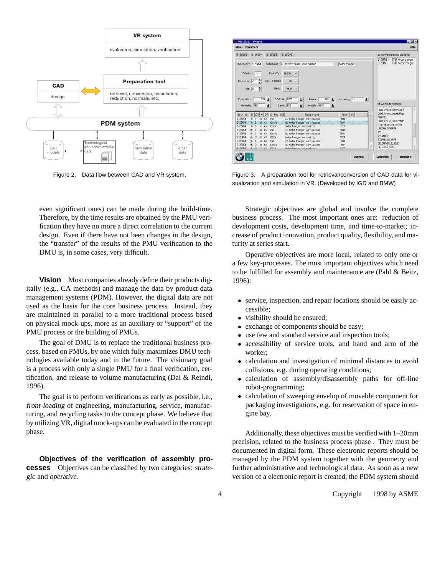

even significant ones) can be made during the build-time. Therefore, by the time results are obtained by the PMU verification they have no more a direct correlation to the current design. Even if there have not been changes in the design, the "transfer" of the results of the PMU verification to the DMU is, in some cases, very difficult.

**Vision** Most companies already define their products digitally (e.g., CA methods) and manage the data by product data management systems (PDM). However, the digital data are not used as the basis for the core business process. Instead, they are maintained in parallel to a more traditional process based on physical mock-ups, more as an auxiliary or "support" of the PMU process or the building of PMUs.

The goal of DMU is to replace the traditional business process, based on PMUs, by one which fully maximizes DMU technologies available today and in the future. The visionary goal is a process with only a single PMU for a final verification, certification, and release to volume manufacturing (Dai & Reindl, 1996).

The goal is to perform verifications as early as possible, i.e., front-loading of engineering, manufacturing, service, manufacturing, and recycling tasks to the concept phase. We believe that by utilizing VR, digital mock-ups can be evaluated in the concept phase.

**Objectives of the verification of assembly processes** Objectives can be classified by two categories: strategic and operative.

|                                                                                                                                                                    |                      | Hille                                                                                                                                                               |
|--------------------------------------------------------------------------------------------------------------------------------------------------------------------|----------------------|---------------------------------------------------------------------------------------------------------------------------------------------------------------------|
| 8125053 8125054 8125055 8125056                                                                                                                                    |                      | zu konvertierende Modelle:                                                                                                                                          |
| Sach-Nr.: 8125854<br>Benennua: RE Motor traeger vorn aussen<br>Zi(Index): h<br>Dok.-Typ: HESSPL -<br>Dok .- Teil: 2<br>Dok-Format:<br>$DA$ $-$                     | Motor troeger        | 8125854 - 3747 Motor traeger<br>8125856 - 3748 Motor traeger<br>konvertierte Modelle:<br>www.commons.commonwearth<br>CADI kness goot 9.0Ec<br>CADI kness agailatFac |
| Reide:<br>$PEJR$ $-$<br>Alt.: B<br>BG/Pulk: BIPI<br>H62 ±<br>E39<br>Entw.-Bez.:<br>士<br>士<br>Motor:<br>Ŧ<br>Ŧ.<br>Ŧ<br>Land: ECE<br>Antrieb: HECK<br>Getriebe: MEC | $\pm$<br>Lenkung: LL |                                                                                                                                                                     |
| DF<br>$D-Typ$ $DS$<br>Sach-Nr.<br>$\overline{z}$<br>DT<br>Benennung<br>Α<br>8125854<br>BHB<br>LI Motor troeger vorn aussen<br>CA<br>h                              | ю<br>Reife<br>KDNZ   | <b>PUNCTE</b>                                                                                                                                                       |
| 125854<br><b>HESSPI</b><br>CA<br>RE Motor traeger, yorn aussen.                                                                                                    |                      | CADI kress agaOIotMc                                                                                                                                                |
| 8125854<br>Motortroeoer vorn mitte<br><b>MPSTN</b><br>ħ<br><b>CA</b>                                                                                               | AVER                 | PTNG-HALL SCHLUPSSEL<br>UNSCHALTIONARE                                                                                                                              |
| 8125854<br>BMB<br>LI Motor traeger vorn aussen<br>CA<br>αh                                                                                                         | KDNZ                 | ZYL.                                                                                                                                                                |
| 8125854<br>RE Motor traeger vorn aussen<br>ah.<br><b>MESSPL</b><br>R<br><b>CA</b>                                                                                  | PP.14                | ZYLINDER                                                                                                                                                            |
| 8125854<br>Motortroeger vorn mitte<br>ch<br>я<br><b>HPSTN</b><br>c<br>CA                                                                                           | AVER                 | EINFUELLKLAPPE                                                                                                                                                      |
| 8125854<br>LI Motor traeger vorn aussen<br>ih<br>A<br><b>DHR</b><br>CA                                                                                             | KONZ                 | GELENGAELLE_SOLE                                                                                                                                                    |
| 8125854<br>RE Motortraeger vorn aussen<br>ih<br>R<br>MESSPL<br><b>CA</b>                                                                                           | PR.39                |                                                                                                                                                                     |

Figure 2. Data flow between CAD and VR system. Figure 3. A preparation tool for retrieval/conversion of CAD data for visualization and simulation in VR. (Developed by IGD and BMW)

Strategic objectives are global and involve the complete business process. The most important ones are: reduction of development costs, development time, and time-to-market; increase of product innovation, product quality, flexibility, and maturity at series start.

Operative objectives are more local, related to only one or a few key-processes. The most important objectives which need to be fulfilled for assembly and maintenance are (Pahl & Beitz, 1996):

- service, inspection, and repair locations should be easily accessible;
- visibility should be ensured;
- exchange of components should be easy;
- use few and standard service and inspection tools;
- accessibility of service tools, and hand and arm of the worker;
- calculation and investigation of minimal distances to avoid collisions, e.g. during operating conditions;
- calculation of assembly/disassembly paths for off-line robot-programming;
- calculation of sweeping envelop of movable component for packaging investigations, e.g. for reservation of space in engine bay.

Additionally, these objectives must be verified with 1–20mm precision, related to the business process phase . They must be documented in digital form. These electronic reports should be managed by the PDM system together with the geometry and further administrative and technological data. As soon as a new version of a electronic report is created, the PDM system should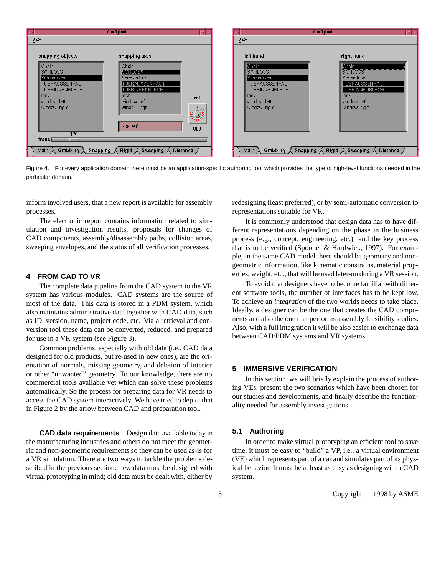

Figure 4. For every application domain there must be an application-specific authoring tool which provides the type of high-level functions needed in the particular domain.

inform involved users, that a new report is available for assembly processes.

The electronic report contains information related to simulation and investigation results, proposals for changes of CAD components, assembly/disassembly paths, collision areas, sweeping envelopes, and the status of all verification processes.

# **4 FROM CAD TO VR**

The complete data pipeline from the CAD system to the VR system has various modules. CAD systems are the source of most of the data. This data is stored in a PDM system, which also maintains administrative data together with CAD data, such as ID, version, name, project code, etc. Via a retrieval and conversion tool these data can be converted, reduced, and prepared for use in a VR system (see Figure 3).

Common problems, especially with old data (i.e., CAD data designed for old products, but re-used in new ones), are the orientation of normals, missing geometry, and deletion of interior or other "unwanted" geometry. To our knowledge, there are no commercial tools available yet which can solve these problems automatically. So the process for preparing data for VR needs to access the CAD system interactively. We have tried to depict that in Figure 2 by the arrow between CAD and preparation tool.

**CAD data requirements** Design data available today in the manufacturing industries and others do not meet the geometric and non-geometric requirements so they can be used as-is for a VR simulation. There are two ways to tackle the problems described in the previous section: new data must be designed with virtual prototyping in mind; old data must be dealt with, either by

redesigning (least preferred), or by semi-automatic conversion to representations suitable for VR.

It is commonly understood that design data has to have different representations depending on the phase in the business process (e.g., concept, engineering, etc.) and the key process that is to be verified (Spooner & Hardwick, 1997). For example, in the same CAD model there should be geometry and nongeometric information, like kinematic constrains, material properties, weight, etc., that will be used later-on during a VR session.

To avoid that designers have to become familiar with different software tools, the number of interfaces has to be kept low. To achieve an *integration* of the two worlds needs to take place. Ideally, a designer can be the one that creates the CAD components and also the one that performs assembly feasibility studies. Also, with a full integration it will be also easier to exchange data between CAD/PDM systems and VR systems.

#### **5 IMMERSIVE VERIFICATION**

In this section, we will briefly explain the process of authoring VEs, present the two scenarios which have been chosen for our studies and developments, and finally describe the functionality needed for assembly investigations.

#### **5.1 Authoring**

In order to make virtual prototyping an efficient tool to save time, it must be easy to "build" a VP, i.e., a virtual environment (VE) which represents part of a car and simulates part of its physical behavior. It must be at least as easy as designing with a CAD system.

5 Copyright © 1998 by ASME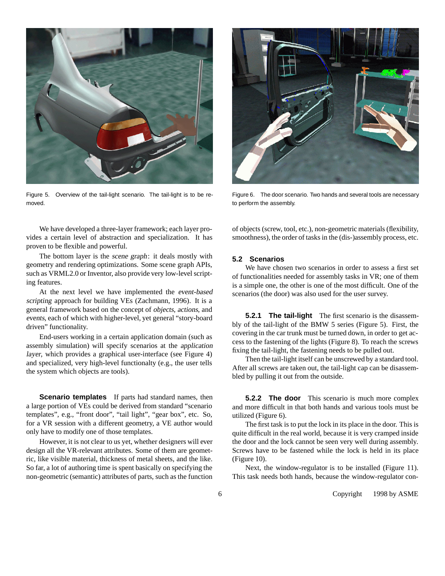

Figure 5. Overview of the tail-light scenario. The tail-light is to be removed.



Figure 6. The door scenario. Two hands and several tools are necessary to perform the assembly.

We have developed a three-layer framework; each layer provides a certain level of abstraction and specialization. It has proven to be flexible and powerful.

The bottom layer is the scene graph: it deals mostly with geometry and rendering optimizations. Some scene graph APIs, such as VRML2.0 or Inventor, also provide very low-level scripting features.

At the next level we have implemented the event-based scripting approach for building VEs (Zachmann, 1996). It is a general framework based on the concept of objects, actions, and events, each of which with higher-level, yet general "story-board driven" functionality.

End-users working in a certain application domain (such as assembly simulation) will specify scenarios at the application layer, which provides a graphical user-interface (see Figure 4) and specialized, very high-level functionalty (e.g., the user tells the system which objects are tools).

**Scenario templates** If parts had standard names, then a large portion of VEs could be derived from standard "scenario templates", e.g., "front door", "tail light", "gear box", etc. So, for a VR session with a different geometry, a VE author would only have to modify one of those templates.

However, it is not clear to us yet, whether designers will ever design all the VR-relevant attributes. Some of them are geometric, like visible material, thickness of metal sheets, and the like. So far, a lot of authoring time is spent basically on specifying the non-geometric (semantic) attributes of parts, such as the function of objects (screw, tool, etc.), non-geometric materials (flexibility, smoothness), the order of tasks in the (dis-)assembly process, etc.

## **5.2 Scenarios**

We have chosen two scenarios in order to assess a first set of functionalities needed for assembly tasks in VR; one of them is a simple one, the other is one of the most difficult. One of the scenarios (the door) was also used for the user survey.

**5.2.1 The tail-light** The first scenario is the disassembly of the tail-light of the BMW 5 series (Figure 5). First, the covering in the car trunk must be turned down, in order to get access to the fastening of the lights (Figure 8). To reach the screws fixing the tail-light, the fastening needs to be pulled out.

Then the tail-light itself can be unscrewed by a standard tool. After all screws are taken out, the tail-light cap can be disassembled by pulling it out from the outside.

**5.2.2 The door** This scenario is much more complex and more difficult in that both hands and various tools must be utilized (Figure 6).

The first task is to put the lock in its place in the door. This is quite difficult in the real world, because it is very cramped inside the door and the lock cannot be seen very well during assembly. Screws have to be fastened while the lock is held in its place (Figure 10).

Next, the window-regulator is to be installed (Figure 11). This task needs both hands, because the window-regulator con-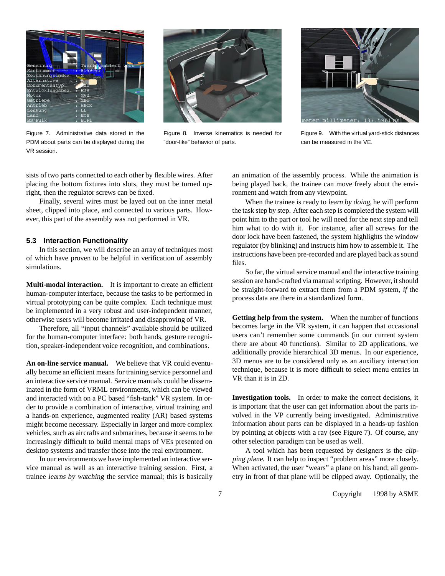

Figure 7. Administrative data stored in the PDM about parts can be displayed during the VR session.



Figure 8. Inverse kinematics is needed for "door-like" behavior of parts.



Figure 9. With the virtual yard-stick distances can be measured in the VE.

sists of two parts connected to each other by flexible wires. After placing the bottom fixtures into slots, they must be turned upright, then the regulator screws can be fixed.

Finally, several wires must be layed out on the inner metal sheet, clipped into place, and connected to various parts. However, this part of the assembly was not performed in VR.

## **5.3 Interaction Functionality**

In this section, we will describe an array of techniques most of which have proven to be helpful in verification of assembly simulations.

**Multi-modal interaction.** It is important to create an efficient human-computer interface, because the tasks to be performed in virtual prototyping can be quite complex. Each technique must be implemented in a very robust and user-independent manner, otherwise users will become irritated and disapproving of VR.

Therefore, all "input channels" available should be utilized for the human-computer interface: both hands, gesture recognition, speaker-independent voice recognition, and combinations.

**An on-line service manual.** We believe that VR could eventually become an efficient means for training service personnel and an interactive service manual. Service manuals could be disseminated in the form of VRML environments, which can be viewed and interacted with on a PC based "fish-tank" VR system. In order to provide a combination of interactive, virtual training and a hands-on experience, augmented reality (AR) based systems might become necessary. Especially in larger and more complex vehicles, such as aircrafts and submarines, because it seems to be increasingly difficult to build mental maps of VEs presented on desktop systems and transfer those into the real environment.

In our environments we have implemented an interactive service manual as well as an interactive training session. First, a trainee learns by watching the service manual; this is basically

an animation of the assembly process. While the animation is being played back, the trainee can move freely about the environment and watch from any viewpoint.

When the trainee is ready to learn by doing, he will perform the task step by step. After each step is completed the system will point him to the part or tool he will need for the next step and tell him what to do with it. For instance, after all screws for the door lock have been fastened, the system highlights the window regulator (by blinking) and instructs him how to assemble it. The instructions have been pre-recorded and are played back as sound files.

So far, the virtual service manual and the interactive training session are hand-crafted via manual scripting. However, it should be straight-forward to extract them from a PDM system, *if* the process data are there in a standardized form.

**Getting help from the system.** When the number of functions becomes large in the VR system, it can happen that occasional users can't remember some commands (in our current system there are about 40 functions). Similar to 2D applications, we additionally provide hierarchical 3D menus. In our experience, 3D menus are to be considered only as an auxiliary interaction technique, because it is more difficult to select menu entries in VR than it is in 2D.

**Investigation tools.** In order to make the correct decisions, it is important that the user can get information about the parts involved in the VP currently being investigated. Administrative information about parts can be displayed in a heads-up fashion by pointing at objects with a ray (see Figure 7). Of course, any other selection paradigm can be used as well.

A tool which has been requested by designers is the clipping plane. It can help to inspect "problem areas" more closely. When activated, the user "wears" a plane on his hand; all geometry in front of that plane will be clipped away. Optionally, the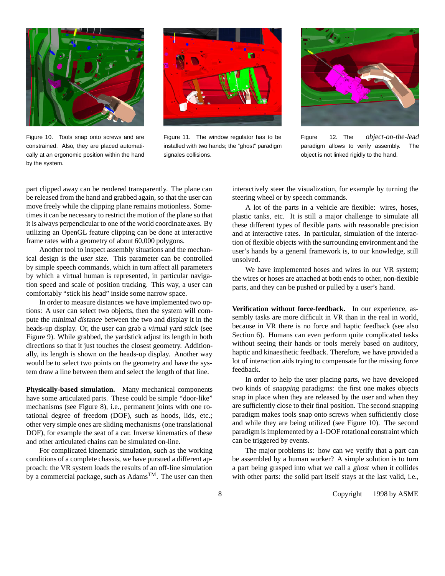

Figure 10. Tools snap onto screws and are constrained. Also, they are placed automatically at an ergonomic position within the hand by the system.



Figure 11. The window regulator has to be installed with two hands; the "ghost" paradigm signales collisions.



Figure 12. The object-on-the-lead paradigm allows to verify assembly. The object is not linked rigidly to the hand.

part clipped away can be rendered transparently. The plane can be released from the hand and grabbed again, so that the user can move freely while the clipping plane remains motionless. Sometimes it can be necessary to restrict the motion of the plane so that it is always perpendicular to one of the world coordinate axes. By utilizing an OpenGL feature clipping can be done at interactive frame rates with a geometry of about 60,000 polygons.

Another tool to inspect assembly situations and the mechanical design is the user size. This parameter can be controlled by simple speech commands, which in turn affect all parameters by which a virtual human is represented, in particular navigation speed and scale of position tracking. This way, a user can comfortably "stick his head" inside some narrow space.

In order to measure distances we have implemented two options: A user can select two objects, then the system will compute the minimal distance between the two and display it in the heads-up display. Or, the user can grab a virtual yard stick (see Figure 9). While grabbed, the yardstick adjust its length in both directions so that it just touches the closest geometry. Additionally, its length is shown on the heads-up display. Another way would be to select two points on the geometry and have the system draw a line between them and select the length of that line.

**Physically-based simulation.** Many mechanical components have some articulated parts. These could be simple "door-like" mechanisms (see Figure 8), i.e., permanent joints with one rotational degree of freedom (DOF), such as hoods, lids, etc.; other very simple ones are sliding mechanisms (one translational DOF), for example the seat of a car. Inverse kinematics of these and other articulated chains can be simulated on-line.

For complicated kinematic simulation, such as the working conditions of a complete chassis, we have pursued a different approach: the VR system loads the results of an off-line simulation by a commercial package, such as Adams<sup>TM</sup>. The user can then interactively steer the visualization, for example by turning the steering wheel or by speech commands.

A lot of the parts in a vehicle are flexible: wires, hoses, plastic tanks, etc. It is still a major challenge to simulate all these different types of flexible parts with reasonable precision and at interactive rates. In particular, simulation of the interaction of flexible objects with the surrounding environment and the user's hands by a general framework is, to our knowledge, still unsolved.

We have implemented hoses and wires in our VR system; the wires or hoses are attached at both ends to other, non-flexible parts, and they can be pushed or pulled by a user's hand.

**Verification without force-feedback.** In our experience, assembly tasks are more difficult in VR than in the real in world, because in VR there is no force and haptic feedback (see also Section 6). Humans can even perform quite complicated tasks without seeing their hands or tools merely based on auditory, haptic and kinaesthetic feedback. Therefore, we have provided a lot of interaction aids trying to compensate for the missing force feedback.

In order to help the user placing parts, we have developed two kinds of snapping paradigms: the first one makes objects snap in place when they are released by the user and when they are sufficiently close to their final position. The second snapping paradigm makes tools snap onto screws when sufficiently close and while they are being utilized (see Figure 10). The second paradigm is implemented by a 1-DOF rotational constraint which can be triggered by events.

The major problems is: how can we verify that a part can be assembled by a human worker? A simple solution is to turn a part being grasped into what we call a ghost when it collides with other parts: the solid part itself stays at the last valid, i.e.,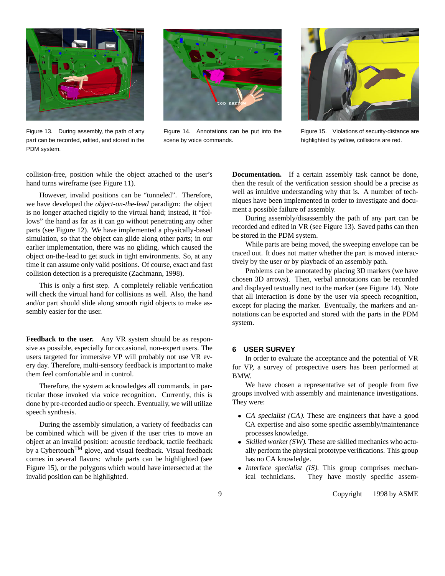

Figure 13. During assembly, the path of any part can be recorded, edited, and stored in the PDM system.



Figure 14. Annotations can be put into the scene by voice commands.



Figure 15. Violations of security-distance are highlighted by yellow, collisions are red.

collision-free, position while the object attached to the user's hand turns wireframe (see Figure 11).

However, invalid positions can be "tunneled". Therefore, we have developed the object-on-the-lead paradigm: the object is no longer attached rigidly to the virtual hand; instead, it "follows" the hand as far as it can go without penetrating any other parts (see Figure 12). We have implemented a physically-based simulation, so that the object can glide along other parts; in our earlier implementation, there was no gliding, which caused the object on-the-lead to get stuck in tight environments. So, at any time it can assume only valid positions. Of course, exact and fast collision detection is a prerequisite (Zachmann, 1998).

This is only a first step. A completely reliable verification will check the virtual hand for collisions as well. Also, the hand and/or part should slide along smooth rigid objects to make assembly easier for the user.

**Feedback to the user.** Any VR system should be as responsive as possible, especially for occasional, non-expert users. The users targeted for immersive VP will probably not use VR every day. Therefore, multi-sensory feedback is important to make them feel comfortable and in control.

Therefore, the system acknowledges all commands, in particular those invoked via voice recognition. Currently, this is done by pre-recorded audio or speech. Eventually, we will utilize speech synthesis.

During the assembly simulation, a variety of feedbacks can be combined which will be given if the user tries to move an object at an invalid position: acoustic feedback, tactile feedback by a Cybertouch<sup>TM</sup> glove, and visual feedback. Visual feedback comes in several flavors: whole parts can be highlighted (see Figure 15), or the polygons which would have intersected at the invalid position can be highlighted.

**Documentation.** If a certain assembly task cannot be done, then the result of the verification session should be a precise as well as intuitive understanding why that is. A number of techniques have been implemented in order to investigate and document a possible failure of assembly.

During assembly/disassembly the path of any part can be recorded and edited in VR (see Figure 13). Saved paths can then be stored in the PDM system.

While parts are being moved, the sweeping envelope can be traced out. It does not matter whether the part is moved interactively by the user or by playback of an assembly path.

Problems can be annotated by placing 3D markers (we have chosen 3D arrows). Then, verbal annotations can be recorded and displayed textually next to the marker (see Figure 14). Note that all interaction is done by the user via speech recognition, except for placing the marker. Eventually, the markers and annotations can be exported and stored with the parts in the PDM system.

## **6 USER SURVEY**

In order to evaluate the acceptance and the potential of VR for VP, a survey of prospective users has been performed at BMW.

We have chosen a representative set of people from five groups involved with assembly and maintenance investigations. They were:

- CA specialist (CA). These are engineers that have a good CA expertise and also some specific assembly/maintenance processes knowledge.
- Skilled worker (SW). These are skilled mechanics who actually perform the physical prototype verifications. This group has no CA knowledge.
- Interface specialist (IS). This group comprises mechanical technicians. They have mostly specific assem-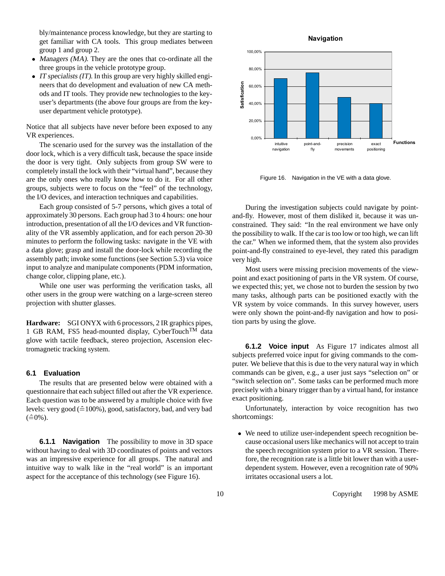bly/maintenance process knowledge, but they are starting to get familiar with CA tools. This group mediates between group 1 and group 2.

- Managers (MA). They are the ones that co-ordinate all the three groups in the vehicle prototype group.
- $\bullet$  IT specialists (IT). In this group are very highly skilled engineers that do development and evaluation of new CA methods and IT tools. They provide new technologies to the keyuser's departments (the above four groups are from the keyuser department vehicle prototype).

Notice that all subjects have never before been exposed to any VR experiences.

The scenario used for the survey was the installation of the door lock, which is a very difficult task, because the space inside the door is very tight. Only subjects from group SW were to completely install the lock with their "virtual hand", because they are the only ones who really know how to do it. For all other groups, subjects were to focus on the "feel" of the technology, the I/O devices, and interaction techniques and capabilities.

Each group consisted of 5-7 persons, which gives a total of approximately 30 persons. Each group had 3 to 4 hours: one hour introduction, presentation of all the I/O devices and VR functionality of the VR assembly application, and for each person 20-30 minutes to perform the following tasks: navigate in the VE with a data glove; grasp and install the door-lock while recording the assembly path; invoke some functions (see Section 5.3) via voice input to analyze and manipulate components (PDM information, change color, clipping plane, etc.).

While one user was performing the verification tasks, all other users in the group were watching on a large-screen stereo projection with shutter glasses.

**Hardware:** SGI ONYX with 6 processors, 2 IR graphics pipes, 1 GB RAM, FS5 head-mounted display, CyberTouch<sup>TM</sup> data glove with tactile feedback, stereo projection, Ascension electromagnetic tracking system.

#### **6.1 Evaluation**

The results that are presented below were obtained with a questionnaire that each subject filled out after the VR experience. Each question was to be answered by a multiple choice with five levels: very good  $( \triangle 100\%)$ , good, satisfactory, bad, and very bad  $(\hat = 0\%)$ .

**6.1.1 Navigation** The possibility to move in 3D space without having to deal with 3D coordinates of points and vectors was an impressive experience for all groups. The natural and intuitive way to walk like in the "real world" is an important aspect for the acceptance of this technology (see Figure 16).



Figure 16. Navigation in the VE with a data glove.

During the investigation subjects could navigate by pointand-fly. However, most of them disliked it, because it was unconstrained. They said: "In the real environment we have only the possibility to walk. If the car is too low or too high, we can lift the car." When we informed them, that the system also provides point-and-fly constrained to eye-level, they rated this paradigm very high.

Most users were missing precision movements of the viewpoint and exact positioning of parts in the VR system. Of course, we expected this; yet, we chose not to burden the session by two many tasks, although parts can be positioned exactly with the VR system by voice commands. In this survey however, users were only shown the point-and-fly navigation and how to position parts by using the glove.

**6.1.2 Voice input** As Figure 17 indicates almost all subjects preferred voice input for giving commands to the computer. We believe that this is due to the very natural way in which commands can be given, e.g., a user just says "selection on" or "switch selection on". Some tasks can be performed much more precisely with a binary trigger than by a virtual hand, for instance exact positioning.

Unfortunately, interaction by voice recognition has two shortcomings:

 We need to utilize user-independent speech recognition because occasional users like mechanics will not accept to train the speech recognition system prior to a VR session. Therefore, the recognition rate is a little bit lower than with a userdependent system. However, even a recognition rate of 90% irritates occasional users a lot.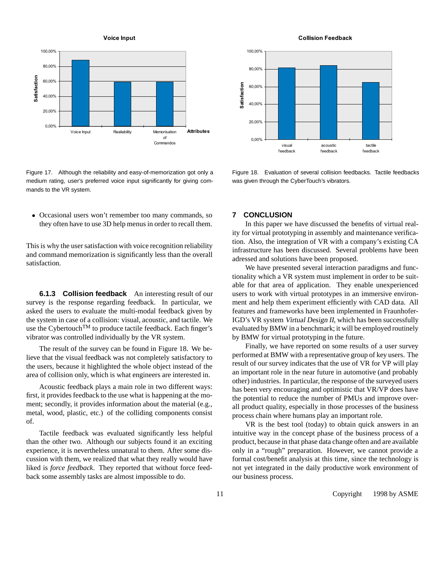

Figure 17. Although the reliability and easy-of-memorization got only a medium rating, user's preferred voice input significantly for giving commands to the VR system.

 Occasional users won't remember too many commands, so they often have to use 3D help menus in order to recall them.

This is why the user satisfaction with voice recognition reliability and command memorization is significantly less than the overall satisfaction.

**6.1.3 Collision feedback** An interesting result of our survey is the response regarding feedback. In particular, we asked the users to evaluate the multi-modal feedback given by the system in case of a collision: visual, acoustic, and tactile. We use the CybertouchTM to produce tactile feedback. Each finger's vibrator was controlled individually by the VR system.

The result of the survey can be found in Figure 18. We believe that the visual feedback was not completely satisfactory to the users, because it highlighted the whole object instead of the area of collision only, which is what engineers are interested in.

Acoustic feedback plays a main role in two different ways: first, it provides feedback to the use what is happening at the moment; secondly, it provides information about the material (e.g., metal, wood, plastic, etc.) of the colliding components consist of.

Tactile feedback was evaluated significantly less helpful than the other two. Although our subjects found it an exciting experience, it is nevertheless unnatural to them. After some discussion with them, we realized that what they really would have liked is *force feedback*. They reported that without force feedback some assembly tasks are almost impossible to do.

**Collision Feedback**



Figure 18. Evaluation of several collision feedbacks. Tactile feedbacks was given through the CyberTouch's vibrators.

#### **7 CONCLUSION**

In this paper we have discussed the benefits of virtual reality for virtual prototyping in assembly and maintenance verification. Also, the integration of VR with a company's existing CA infrastructure has been discussed. Several problems have been adressed and solutions have been proposed.

We have presented several interaction paradigms and functionality which a VR system must implement in order to be suitable for that area of application. They enable unexperienced users to work with virtual prototypes in an immersive environment and help them experiment efficiently with CAD data. All features and frameworks have been implemented in Fraunhofer-IGD's VR system Virtual Design II, which has been successfully evaluated by BMW in a benchmark; it will be employed routinely by BMW for virtual prototyping in the future.

Finally, we have reported on some results of a user survey performed at BMW with a representative group of key users. The result of our survey indicates that the use of VR for VP will play an important role in the near future in automotive (and probably other) industries. In particular, the response of the surveyed users has been very encouraging and optimistic that VR/VP does have the potential to reduce the number of PMUs and improve overall product quality, especially in those processes of the business process chain where humans play an important role.

VR is the best tool (today) to obtain quick answers in an intuitive way in the concept phase of the business process of a product, because in that phase data change often and are available only in a "rough" preparation. However, we cannot provide a formal cost/benefit analysis at this time, since the technology is not yet integrated in the daily productive work environment of our business process.